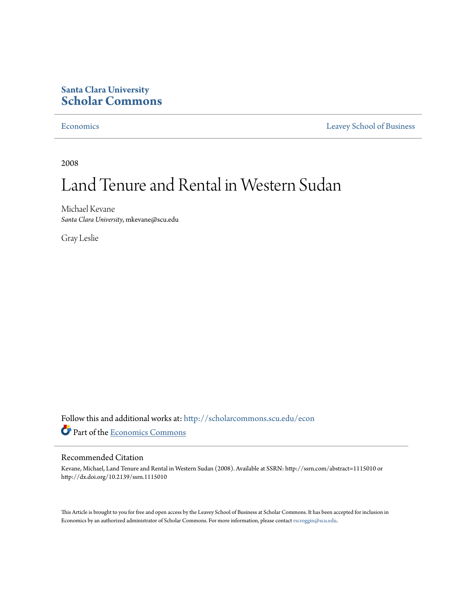# **Santa Clara University [Scholar Commons](http://scholarcommons.scu.edu?utm_source=scholarcommons.scu.edu%2Fecon%2F26&utm_medium=PDF&utm_campaign=PDFCoverPages)**

[Economics](http://scholarcommons.scu.edu/econ?utm_source=scholarcommons.scu.edu%2Fecon%2F26&utm_medium=PDF&utm_campaign=PDFCoverPages) [Leavey School of Business](http://scholarcommons.scu.edu/business?utm_source=scholarcommons.scu.edu%2Fecon%2F26&utm_medium=PDF&utm_campaign=PDFCoverPages)

2008

# Land Tenure and Rental in Western Sudan

Michael Kevane *Santa Clara University*, mkevane@scu.edu

Gray Leslie

Follow this and additional works at: [http://scholarcommons.scu.edu/econ](http://scholarcommons.scu.edu/econ?utm_source=scholarcommons.scu.edu%2Fecon%2F26&utm_medium=PDF&utm_campaign=PDFCoverPages) Part of the [Economics Commons](http://network.bepress.com/hgg/discipline/340?utm_source=scholarcommons.scu.edu%2Fecon%2F26&utm_medium=PDF&utm_campaign=PDFCoverPages)

#### Recommended Citation

Kevane, Michael, Land Tenure and Rental in Western Sudan (2008). Available at SSRN: http://ssrn.com/abstract=1115010 or http://dx.doi.org/10.2139/ssrn.1115010

This Article is brought to you for free and open access by the Leavey School of Business at Scholar Commons. It has been accepted for inclusion in Economics by an authorized administrator of Scholar Commons. For more information, please contact [rscroggin@scu.edu](mailto:rscroggin@scu.edu).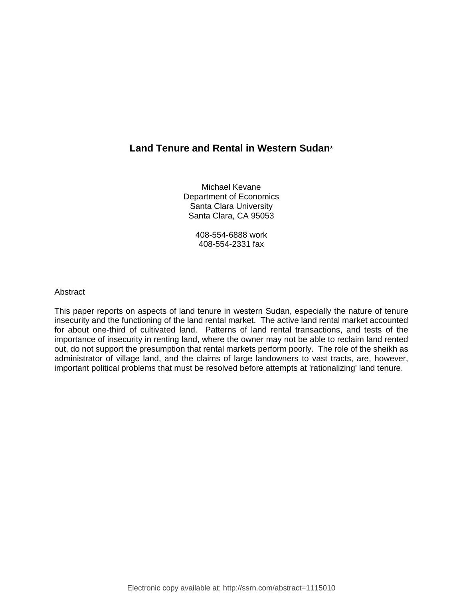# **Land Tenure and Rental in Western Sudan**\*

Michael Kevane Department of Economics Santa Clara University Santa Clara, CA 95053

> 408-554-6888 work 408-554-2331 fax

#### Abstract

This paper reports on aspects of land tenure in western Sudan, especially the nature of tenure insecurity and the functioning of the land rental market. The active land rental market accounted for about one-third of cultivated land. Patterns of land rental transactions, and tests of the importance of insecurity in renting land, where the owner may not be able to reclaim land rented out, do not support the presumption that rental markets perform poorly. The role of the sheikh as administrator of village land, and the claims of large landowners to vast tracts, are, however, important political problems that must be resolved before attempts at 'rationalizing' land tenure.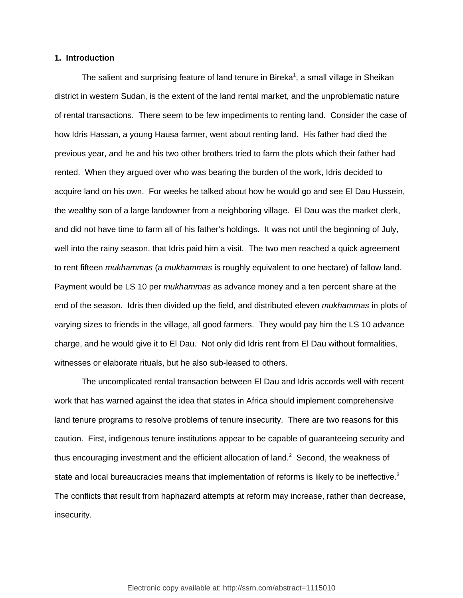#### **1. Introduction**

The salient and surprising feature of land tenure in Bireka<sup>1</sup>, a small village in Sheikan district in western Sudan, is the extent of the land rental market, and the unproblematic nature of rental transactions. There seem to be few impediments to renting land. Consider the case of how Idris Hassan, a young Hausa farmer, went about renting land. His father had died the previous year, and he and his two other brothers tried to farm the plots which their father had rented. When they argued over who was bearing the burden of the work, Idris decided to acquire land on his own. For weeks he talked about how he would go and see El Dau Hussein, the wealthy son of a large landowner from a neighboring village. El Dau was the market clerk, and did not have time to farm all of his father's holdings. It was not until the beginning of July, well into the rainy season, that Idris paid him a visit. The two men reached a quick agreement to rent fifteen *mukhammas* (a *mukhammas* is roughly equivalent to one hectare) of fallow land. Payment would be LS 10 per *mukhammas* as advance money and a ten percent share at the end of the season. Idris then divided up the field, and distributed eleven *mukhammas* in plots of varying sizes to friends in the village, all good farmers. They would pay him the LS 10 advance charge, and he would give it to El Dau. Not only did Idris rent from El Dau without formalities, witnesses or elaborate rituals, but he also sub-leased to others.

The uncomplicated rental transaction between El Dau and Idris accords well with recent work that has warned against the idea that states in Africa should implement comprehensive land tenure programs to resolve problems of tenure insecurity. There are two reasons for this caution. First, indigenous tenure institutions appear to be capable of guaranteeing security and thus encouraging investment and the efficient allocation of land.<sup>2</sup> Second, the weakness of state and local bureaucracies means that implementation of reforms is likely to be ineffective.<sup>3</sup> The conflicts that result from haphazard attempts at reform may increase, rather than decrease, insecurity.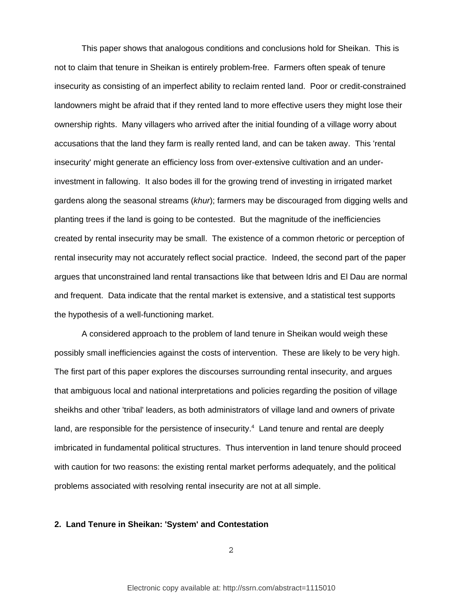This paper shows that analogous conditions and conclusions hold for Sheikan. This is not to claim that tenure in Sheikan is entirely problem-free. Farmers often speak of tenure insecurity as consisting of an imperfect ability to reclaim rented land. Poor or credit-constrained landowners might be afraid that if they rented land to more effective users they might lose their ownership rights. Many villagers who arrived after the initial founding of a village worry about accusations that the land they farm is really rented land, and can be taken away. This 'rental insecurity' might generate an efficiency loss from over-extensive cultivation and an underinvestment in fallowing. It also bodes ill for the growing trend of investing in irrigated market gardens along the seasonal streams (*khur*); farmers may be discouraged from digging wells and planting trees if the land is going to be contested. But the magnitude of the inefficiencies created by rental insecurity may be small. The existence of a common rhetoric or perception of rental insecurity may not accurately reflect social practice. Indeed, the second part of the paper argues that unconstrained land rental transactions like that between Idris and El Dau are normal and frequent. Data indicate that the rental market is extensive, and a statistical test supports the hypothesis of a well-functioning market.

A considered approach to the problem of land tenure in Sheikan would weigh these possibly small inefficiencies against the costs of intervention. These are likely to be very high. The first part of this paper explores the discourses surrounding rental insecurity, and argues that ambiguous local and national interpretations and policies regarding the position of village sheikhs and other 'tribal' leaders, as both administrators of village land and owners of private land, are responsible for the persistence of insecurity.<sup>4</sup> Land tenure and rental are deeply imbricated in fundamental political structures. Thus intervention in land tenure should proceed with caution for two reasons: the existing rental market performs adequately, and the political problems associated with resolving rental insecurity are not at all simple.

#### **2. Land Tenure in Sheikan: 'System' and Contestation**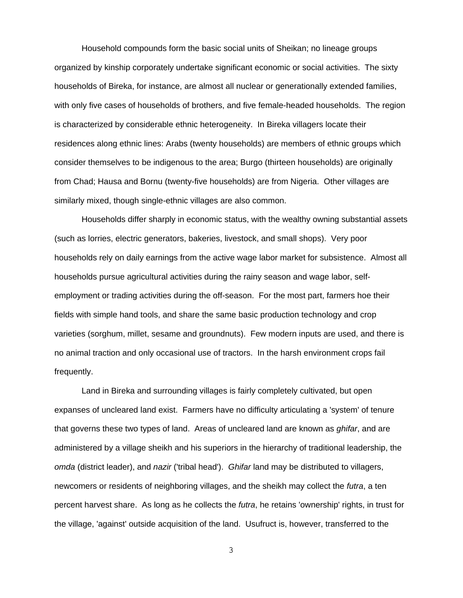Household compounds form the basic social units of Sheikan; no lineage groups organized by kinship corporately undertake significant economic or social activities. The sixty households of Bireka, for instance, are almost all nuclear or generationally extended families, with only five cases of households of brothers, and five female-headed households. The region is characterized by considerable ethnic heterogeneity. In Bireka villagers locate their residences along ethnic lines: Arabs (twenty households) are members of ethnic groups which consider themselves to be indigenous to the area; Burgo (thirteen households) are originally from Chad; Hausa and Bornu (twenty-five households) are from Nigeria. Other villages are similarly mixed, though single-ethnic villages are also common.

Households differ sharply in economic status, with the wealthy owning substantial assets (such as lorries, electric generators, bakeries, livestock, and small shops). Very poor households rely on daily earnings from the active wage labor market for subsistence. Almost all households pursue agricultural activities during the rainy season and wage labor, selfemployment or trading activities during the off-season. For the most part, farmers hoe their fields with simple hand tools, and share the same basic production technology and crop varieties (sorghum, millet, sesame and groundnuts). Few modern inputs are used, and there is no animal traction and only occasional use of tractors. In the harsh environment crops fail frequently.

Land in Bireka and surrounding villages is fairly completely cultivated, but open expanses of uncleared land exist. Farmers have no difficulty articulating a 'system' of tenure that governs these two types of land. Areas of uncleared land are known as *ghifar*, and are administered by a village sheikh and his superiors in the hierarchy of traditional leadership, the *omda* (district leader), and *nazir* ('tribal head'). *Ghifar* land may be distributed to villagers, newcomers or residents of neighboring villages, and the sheikh may collect the *futra*, a ten percent harvest share. As long as he collects the *futra*, he retains 'ownership' rights, in trust for the village, 'against' outside acquisition of the land. Usufruct is, however, transferred to the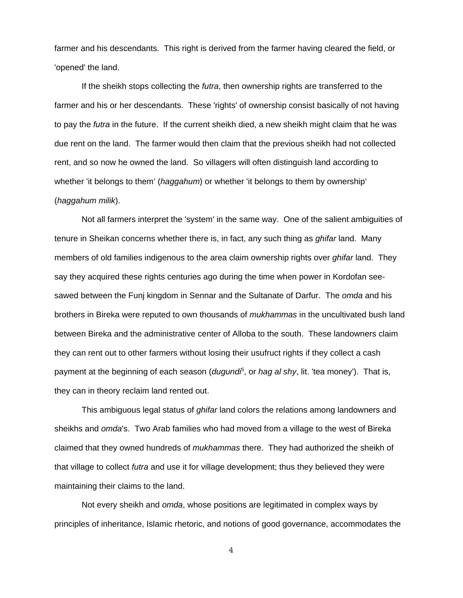farmer and his descendants. This right is derived from the farmer having cleared the field, or 'opened' the land.

If the sheikh stops collecting the *futra*, then ownership rights are transferred to the farmer and his or her descendants. These 'rights' of ownership consist basically of not having to pay the *futra* in the future. If the current sheikh died, a new sheikh might claim that he was due rent on the land. The farmer would then claim that the previous sheikh had not collected rent, and so now he owned the land. So villagers will often distinguish land according to whether 'it belongs to them' (*haggahum*) or whether 'it belongs to them by ownership' (*haggahum milik*).

Not all farmers interpret the 'system' in the same way. One of the salient ambiguities of tenure in Sheikan concerns whether there is, in fact, any such thing as *ghifar* land. Many members of old families indigenous to the area claim ownership rights over *ghifar* land. They say they acquired these rights centuries ago during the time when power in Kordofan seesawed between the Funj kingdom in Sennar and the Sultanate of Darfur. The *omda* and his brothers in Bireka were reputed to own thousands of *mukhammas* in the uncultivated bush land between Bireka and the administrative center of Alloba to the south. These landowners claim they can rent out to other farmers without losing their usufruct rights if they collect a cash payment at the beginning of each season (*dugundi*<sup>5</sup>, or *hag al shy*, lit. 'tea money'). That is, they can in theory reclaim land rented out.

This ambiguous legal status of *ghifar* land colors the relations among landowners and sheikhs and *omda*'s. Two Arab families who had moved from a village to the west of Bireka claimed that they owned hundreds of *mukhammas* there. They had authorized the sheikh of that village to collect *futra* and use it for village development; thus they believed they were maintaining their claims to the land.

Not every sheikh and *omda*, whose positions are legitimated in complex ways by principles of inheritance, Islamic rhetoric, and notions of good governance, accommodates the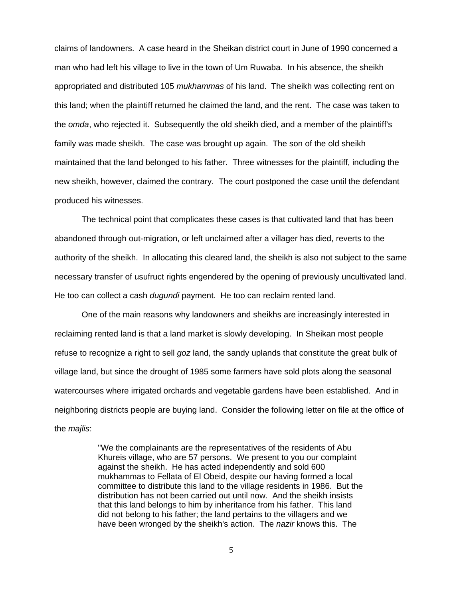claims of landowners. A case heard in the Sheikan district court in June of 1990 concerned a man who had left his village to live in the town of Um Ruwaba. In his absence, the sheikh appropriated and distributed 105 *mukhammas* of his land. The sheikh was collecting rent on this land; when the plaintiff returned he claimed the land, and the rent. The case was taken to the *omda*, who rejected it. Subsequently the old sheikh died, and a member of the plaintiff's family was made sheikh. The case was brought up again. The son of the old sheikh maintained that the land belonged to his father. Three witnesses for the plaintiff, including the new sheikh, however, claimed the contrary. The court postponed the case until the defendant produced his witnesses.

The technical point that complicates these cases is that cultivated land that has been abandoned through out-migration, or left unclaimed after a villager has died, reverts to the authority of the sheikh. In allocating this cleared land, the sheikh is also not subject to the same necessary transfer of usufruct rights engendered by the opening of previously uncultivated land. He too can collect a cash *dugundi* payment. He too can reclaim rented land.

One of the main reasons why landowners and sheikhs are increasingly interested in reclaiming rented land is that a land market is slowly developing. In Sheikan most people refuse to recognize a right to sell *goz* land, the sandy uplands that constitute the great bulk of village land, but since the drought of 1985 some farmers have sold plots along the seasonal watercourses where irrigated orchards and vegetable gardens have been established. And in neighboring districts people are buying land. Consider the following letter on file at the office of the *majlis*:

> "We the complainants are the representatives of the residents of Abu Khureis village, who are 57 persons. We present to you our complaint against the sheikh. He has acted independently and sold 600 mukhammas to Fellata of El Obeid, despite our having formed a local committee to distribute this land to the village residents in 1986. But the distribution has not been carried out until now. And the sheikh insists that this land belongs to him by inheritance from his father. This land did not belong to his father; the land pertains to the villagers and we have been wronged by the sheikh's action. The *nazir* knows this. The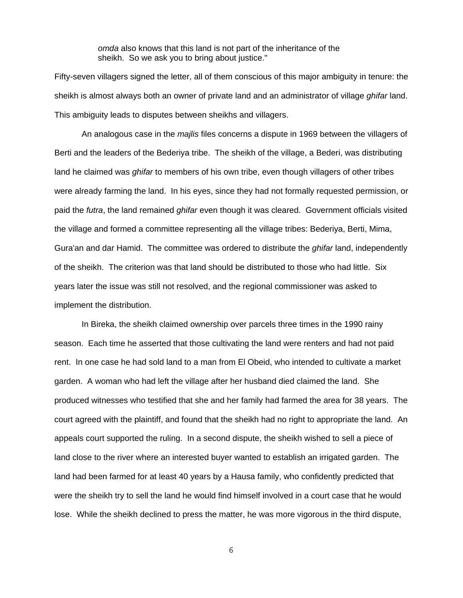*omda* also knows that this land is not part of the inheritance of the sheikh. So we ask you to bring about justice."

Fifty-seven villagers signed the letter, all of them conscious of this major ambiguity in tenure: the sheikh is almost always both an owner of private land and an administrator of village *ghifar* land. This ambiguity leads to disputes between sheikhs and villagers.

An analogous case in the *majlis* files concerns a dispute in 1969 between the villagers of Berti and the leaders of the Bederiya tribe. The sheikh of the village, a Bederi, was distributing land he claimed was *ghifar* to members of his own tribe, even though villagers of other tribes were already farming the land. In his eyes, since they had not formally requested permission, or paid the *futra*, the land remained *ghifar* even though it was cleared. Government officials visited the village and formed a committee representing all the village tribes: Bederiya, Berti, Mima, Gura'an and dar Hamid. The committee was ordered to distribute the *ghifar* land, independently of the sheikh. The criterion was that land should be distributed to those who had little. Six years later the issue was still not resolved, and the regional commissioner was asked to implement the distribution.

In Bireka, the sheikh claimed ownership over parcels three times in the 1990 rainy season. Each time he asserted that those cultivating the land were renters and had not paid rent. In one case he had sold land to a man from El Obeid, who intended to cultivate a market garden. A woman who had left the village after her husband died claimed the land. She produced witnesses who testified that she and her family had farmed the area for 38 years. The court agreed with the plaintiff, and found that the sheikh had no right to appropriate the land. An appeals court supported the ruling. In a second dispute, the sheikh wished to sell a piece of land close to the river where an interested buyer wanted to establish an irrigated garden. The land had been farmed for at least 40 years by a Hausa family, who confidently predicted that were the sheikh try to sell the land he would find himself involved in a court case that he would lose. While the sheikh declined to press the matter, he was more vigorous in the third dispute,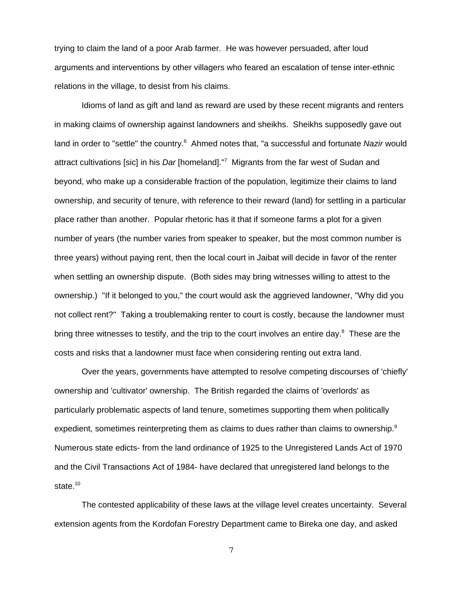trying to claim the land of a poor Arab farmer. He was however persuaded, after loud arguments and interventions by other villagers who feared an escalation of tense inter-ethnic relations in the village, to desist from his claims.

Idioms of land as gift and land as reward are used by these recent migrants and renters in making claims of ownership against landowners and sheikhs. Sheikhs supposedly gave out land in order to "settle" the country.<sup>6</sup> Ahmed notes that, "a successful and fortunate *Nazir* would attract cultivations [sic] in his *Dar* [homeland]."7 Migrants from the far west of Sudan and beyond, who make up a considerable fraction of the population, legitimize their claims to land ownership, and security of tenure, with reference to their reward (land) for settling in a particular place rather than another. Popular rhetoric has it that if someone farms a plot for a given number of years (the number varies from speaker to speaker, but the most common number is three years) without paying rent, then the local court in Jaibat will decide in favor of the renter when settling an ownership dispute. (Both sides may bring witnesses willing to attest to the ownership.) "If it belonged to you," the court would ask the aggrieved landowner, "Why did you not collect rent?" Taking a troublemaking renter to court is costly, because the landowner must bring three witnesses to testify, and the trip to the court involves an entire day. $8$  These are the costs and risks that a landowner must face when considering renting out extra land.

Over the years, governments have attempted to resolve competing discourses of 'chiefly' ownership and 'cultivator' ownership. The British regarded the claims of 'overlords' as particularly problematic aspects of land tenure, sometimes supporting them when politically expedient, sometimes reinterpreting them as claims to dues rather than claims to ownership.<sup>9</sup> Numerous state edicts- from the land ordinance of 1925 to the Unregistered Lands Act of 1970 and the Civil Transactions Act of 1984- have declared that unregistered land belongs to the state.<sup>10</sup>

The contested applicability of these laws at the village level creates uncertainty. Several extension agents from the Kordofan Forestry Department came to Bireka one day, and asked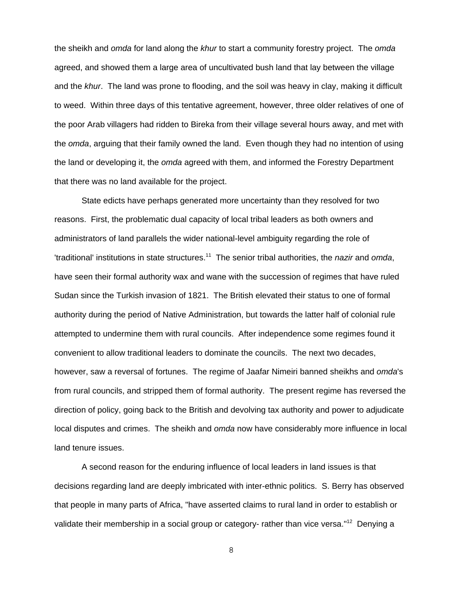the sheikh and *omda* for land along the *khur* to start a community forestry project. The *omda* agreed, and showed them a large area of uncultivated bush land that lay between the village and the *khur*. The land was prone to flooding, and the soil was heavy in clay, making it difficult to weed. Within three days of this tentative agreement, however, three older relatives of one of the poor Arab villagers had ridden to Bireka from their village several hours away, and met with the *omda*, arguing that their family owned the land. Even though they had no intention of using the land or developing it, the *omda* agreed with them, and informed the Forestry Department that there was no land available for the project.

State edicts have perhaps generated more uncertainty than they resolved for two reasons. First, the problematic dual capacity of local tribal leaders as both owners and administrators of land parallels the wider national-level ambiguity regarding the role of 'traditional' institutions in state structures.11 The senior tribal authorities, the *nazir* and *omda*, have seen their formal authority wax and wane with the succession of regimes that have ruled Sudan since the Turkish invasion of 1821. The British elevated their status to one of formal authority during the period of Native Administration, but towards the latter half of colonial rule attempted to undermine them with rural councils. After independence some regimes found it convenient to allow traditional leaders to dominate the councils. The next two decades, however, saw a reversal of fortunes. The regime of Jaafar Nimeiri banned sheikhs and *omda*'s from rural councils, and stripped them of formal authority. The present regime has reversed the direction of policy, going back to the British and devolving tax authority and power to adjudicate local disputes and crimes. The sheikh and *omda* now have considerably more influence in local land tenure issues.

A second reason for the enduring influence of local leaders in land issues is that decisions regarding land are deeply imbricated with inter-ethnic politics. S. Berry has observed that people in many parts of Africa, "have asserted claims to rural land in order to establish or validate their membership in a social group or category- rather than vice versa."<sup>12</sup> Denying a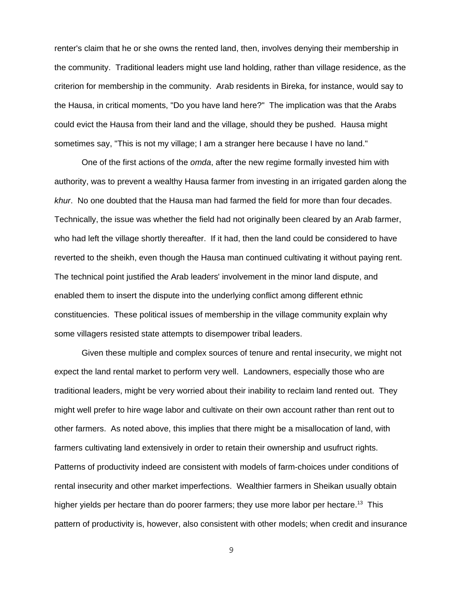renter's claim that he or she owns the rented land, then, involves denying their membership in the community. Traditional leaders might use land holding, rather than village residence, as the criterion for membership in the community. Arab residents in Bireka, for instance, would say to the Hausa, in critical moments, "Do you have land here?" The implication was that the Arabs could evict the Hausa from their land and the village, should they be pushed. Hausa might sometimes say, "This is not my village; I am a stranger here because I have no land."

One of the first actions of the *omda*, after the new regime formally invested him with authority, was to prevent a wealthy Hausa farmer from investing in an irrigated garden along the *khur*. No one doubted that the Hausa man had farmed the field for more than four decades. Technically, the issue was whether the field had not originally been cleared by an Arab farmer, who had left the village shortly thereafter. If it had, then the land could be considered to have reverted to the sheikh, even though the Hausa man continued cultivating it without paying rent. The technical point justified the Arab leaders' involvement in the minor land dispute, and enabled them to insert the dispute into the underlying conflict among different ethnic constituencies. These political issues of membership in the village community explain why some villagers resisted state attempts to disempower tribal leaders.

Given these multiple and complex sources of tenure and rental insecurity, we might not expect the land rental market to perform very well. Landowners, especially those who are traditional leaders, might be very worried about their inability to reclaim land rented out. They might well prefer to hire wage labor and cultivate on their own account rather than rent out to other farmers. As noted above, this implies that there might be a misallocation of land, with farmers cultivating land extensively in order to retain their ownership and usufruct rights. Patterns of productivity indeed are consistent with models of farm-choices under conditions of rental insecurity and other market imperfections. Wealthier farmers in Sheikan usually obtain higher yields per hectare than do poorer farmers; they use more labor per hectare.<sup>13</sup> This pattern of productivity is, however, also consistent with other models; when credit and insurance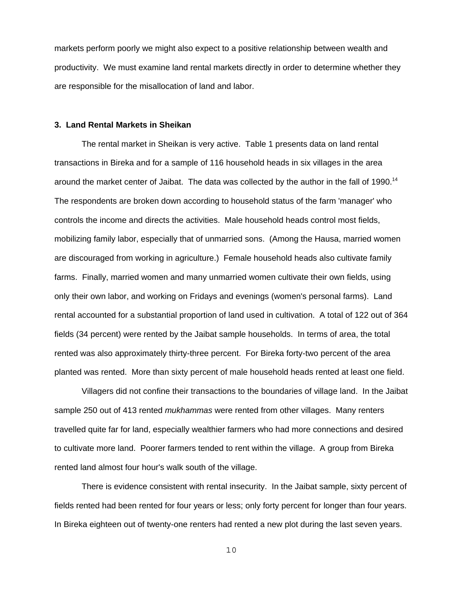markets perform poorly we might also expect to a positive relationship between wealth and productivity. We must examine land rental markets directly in order to determine whether they are responsible for the misallocation of land and labor.

#### **3. Land Rental Markets in Sheikan**

The rental market in Sheikan is very active. Table 1 presents data on land rental transactions in Bireka and for a sample of 116 household heads in six villages in the area around the market center of Jaibat. The data was collected by the author in the fall of 1990.<sup>14</sup> The respondents are broken down according to household status of the farm 'manager' who controls the income and directs the activities. Male household heads control most fields, mobilizing family labor, especially that of unmarried sons. (Among the Hausa, married women are discouraged from working in agriculture.) Female household heads also cultivate family farms. Finally, married women and many unmarried women cultivate their own fields, using only their own labor, and working on Fridays and evenings (women's personal farms). Land rental accounted for a substantial proportion of land used in cultivation. A total of 122 out of 364 fields (34 percent) were rented by the Jaibat sample households. In terms of area, the total rented was also approximately thirty-three percent. For Bireka forty-two percent of the area planted was rented. More than sixty percent of male household heads rented at least one field.

Villagers did not confine their transactions to the boundaries of village land. In the Jaibat sample 250 out of 413 rented *mukhammas* were rented from other villages. Many renters travelled quite far for land, especially wealthier farmers who had more connections and desired to cultivate more land. Poorer farmers tended to rent within the village. A group from Bireka rented land almost four hour's walk south of the village.

There is evidence consistent with rental insecurity. In the Jaibat sample, sixty percent of fields rented had been rented for four years or less; only forty percent for longer than four years. In Bireka eighteen out of twenty-one renters had rented a new plot during the last seven years.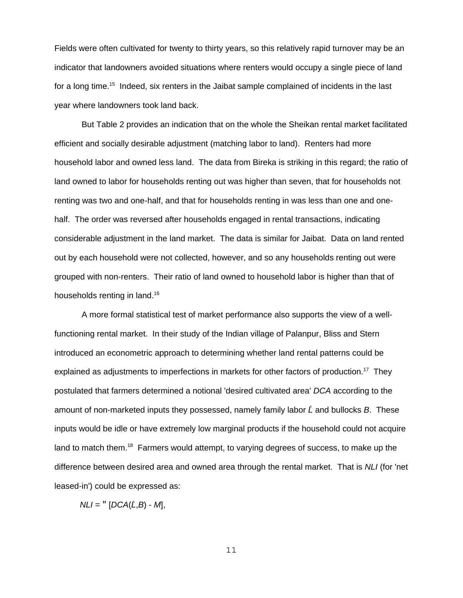Fields were often cultivated for twenty to thirty years, so this relatively rapid turnover may be an indicator that landowners avoided situations where renters would occupy a single piece of land for a long time.<sup>15</sup> Indeed, six renters in the Jaibat sample complained of incidents in the last year where landowners took land back.

But Table 2 provides an indication that on the whole the Sheikan rental market facilitated efficient and socially desirable adjustment (matching labor to land). Renters had more household labor and owned less land. The data from Bireka is striking in this regard; the ratio of land owned to labor for households renting out was higher than seven, that for households not renting was two and one-half, and that for households renting in was less than one and onehalf. The order was reversed after households engaged in rental transactions, indicating considerable adjustment in the land market. The data is similar for Jaibat. Data on land rented out by each household were not collected, however, and so any households renting out were grouped with non-renters. Their ratio of land owned to household labor is higher than that of households renting in land.<sup>16</sup>

A more formal statistical test of market performance also supports the view of a wellfunctioning rental market. In their study of the Indian village of Palanpur, Bliss and Stern introduced an econometric approach to determining whether land rental patterns could be explained as adjustments to imperfections in markets for other factors of production.<sup>17</sup> They postulated that farmers determined a notional 'desired cultivated area' *DCA* according to the amount of non-marketed inputs they possessed, namely family labor *L* ^ and bullocks *B*. These inputs would be idle or have extremely low marginal products if the household could not acquire land to match them.<sup>18</sup> Farmers would attempt, to varying degrees of success, to make up the difference between desired area and owned area through the rental market. That is *NLI* (for 'net leased-in') could be expressed as:

*NLI* = "[*DCA*(*L* ^ ,*B*) - *M*],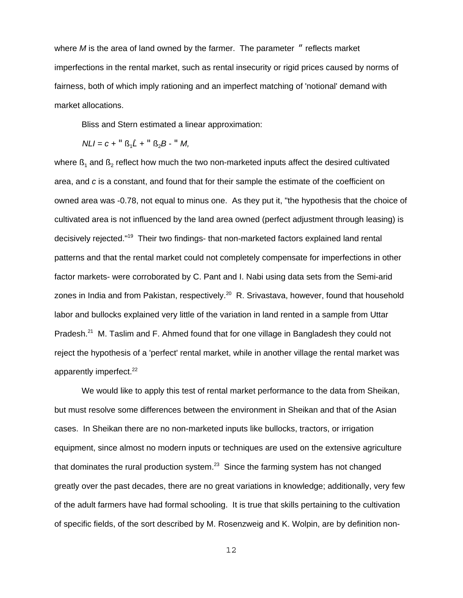where *M* is the area of land owned by the farmer. The parameter " reflects market imperfections in the rental market, such as rental insecurity or rigid prices caused by norms of fairness, both of which imply rationing and an imperfect matching of 'notional' demand with market allocations.

Bliss and Stern estimated a linear approximation:

$$
NLI = c + \mathbf{R} \cdot \mathbf{S}_1 \hat{L} + \mathbf{R} \cdot \mathbf{S}_2 B - \mathbf{R} \cdot M,
$$

where  $\mathfrak{g}_1$  and  $\mathfrak{g}_2$  reflect how much the two non-marketed inputs affect the desired cultivated area, and *c* is a constant, and found that for their sample the estimate of the coefficient on owned area was -0.78, not equal to minus one. As they put it, "the hypothesis that the choice of cultivated area is not influenced by the land area owned (perfect adjustment through leasing) is decisively rejected."19 Their two findings- that non-marketed factors explained land rental patterns and that the rental market could not completely compensate for imperfections in other factor markets- were corroborated by C. Pant and I. Nabi using data sets from the Semi-arid zones in India and from Pakistan, respectively.<sup>20</sup> R. Srivastava, however, found that household labor and bullocks explained very little of the variation in land rented in a sample from Uttar Pradesh.<sup>21</sup> M. Taslim and F. Ahmed found that for one village in Bangladesh they could not reject the hypothesis of a 'perfect' rental market, while in another village the rental market was apparently imperfect.<sup>22</sup>

We would like to apply this test of rental market performance to the data from Sheikan, but must resolve some differences between the environment in Sheikan and that of the Asian cases. In Sheikan there are no non-marketed inputs like bullocks, tractors, or irrigation equipment, since almost no modern inputs or techniques are used on the extensive agriculture that dominates the rural production system. $^{23}$  Since the farming system has not changed greatly over the past decades, there are no great variations in knowledge; additionally, very few of the adult farmers have had formal schooling. It is true that skills pertaining to the cultivation of specific fields, of the sort described by M. Rosenzweig and K. Wolpin, are by definition non-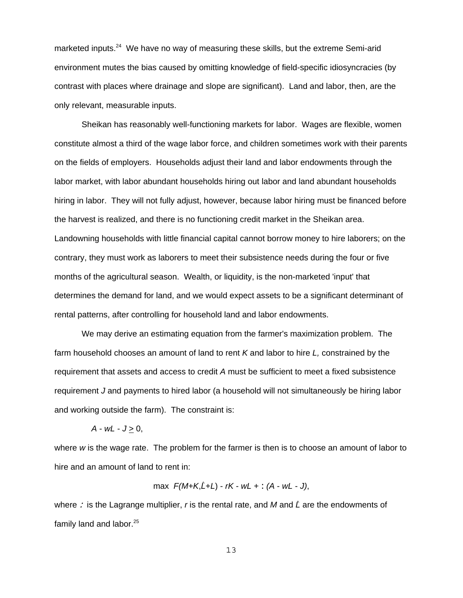marketed inputs.<sup>24</sup> We have no way of measuring these skills, but the extreme Semi-arid environment mutes the bias caused by omitting knowledge of field-specific idiosyncracies (by contrast with places where drainage and slope are significant). Land and labor, then, are the only relevant, measurable inputs.

Sheikan has reasonably well-functioning markets for labor. Wages are flexible, women constitute almost a third of the wage labor force, and children sometimes work with their parents on the fields of employers. Households adjust their land and labor endowments through the labor market, with labor abundant households hiring out labor and land abundant households hiring in labor. They will not fully adjust, however, because labor hiring must be financed before the harvest is realized, and there is no functioning credit market in the Sheikan area. Landowning households with little financial capital cannot borrow money to hire laborers; on the contrary, they must work as laborers to meet their subsistence needs during the four or five months of the agricultural season. Wealth, or liquidity, is the non-marketed 'input' that determines the demand for land, and we would expect assets to be a significant determinant of rental patterns, after controlling for household land and labor endowments.

We may derive an estimating equation from the farmer's maximization problem. The farm household chooses an amount of land to rent *K* and labor to hire *L,* constrained by the requirement that assets and access to credit *A* must be sufficient to meet a fixed subsistence requirement *J* and payments to hired labor (a household will not simultaneously be hiring labor and working outside the farm). The constraint is:

$$
A - wL - J \geq 0,
$$

where *w* is the wage rate. The problem for the farmer is then is to choose an amount of labor to hire and an amount of land to rent in:

max 
$$
F(M+K,\hat{L}+L) - rK - wL +
$$
:  $(A - wL - J)$ ,

where : is the Lagrange multiplier, r is the rental rate, and M and L are the endowments of family land and labor.<sup>25</sup>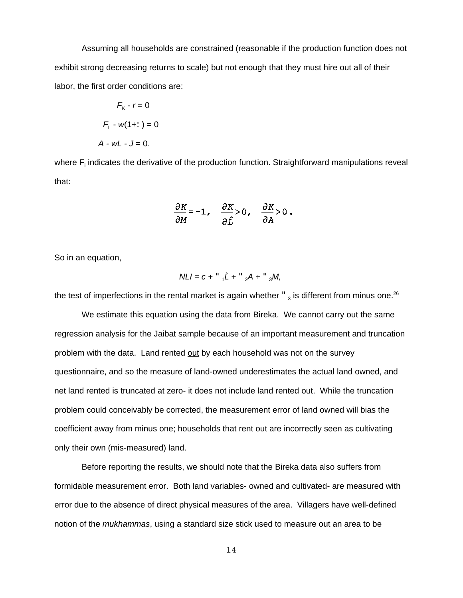Assuming all households are constrained (reasonable if the production function does not exhibit strong decreasing returns to scale) but not enough that they must hire out all of their labor, the first order conditions are:

$$
F_{K} - r = 0
$$

$$
F_{L} - w(1 + z) = 0
$$

$$
A - wL - J = 0.
$$

where  $\mathsf{F}_\mathsf{i}$  indicates the derivative of the production function. Straightforward manipulations reveal that:

$$
\frac{\partial K}{\partial M} = -1, \quad \frac{\partial K}{\partial \hat{L}} > 0, \quad \frac{\partial K}{\partial A} > 0.
$$

So in an equation,

$$
NLI = c +
$$
<sup>**u**</sup><sub>1</sub> $\hat{L} +$ <sup>**u**</sup><sub>2</sub> $A +$ <sup>**u**</sup><sub>3</sub> $M$ ,

the test of imperfections in the rental market is again whether  $\frac{1}{3}$  is different from minus one.<sup>26</sup>

We estimate this equation using the data from Bireka. We cannot carry out the same regression analysis for the Jaibat sample because of an important measurement and truncation problem with the data. Land rented out by each household was not on the survey questionnaire, and so the measure of land-owned underestimates the actual land owned, and net land rented is truncated at zero- it does not include land rented out. While the truncation problem could conceivably be corrected, the measurement error of land owned will bias the coefficient away from minus one; households that rent out are incorrectly seen as cultivating only their own (mis-measured) land.

Before reporting the results, we should note that the Bireka data also suffers from formidable measurement error. Both land variables- owned and cultivated- are measured with error due to the absence of direct physical measures of the area. Villagers have well-defined notion of the *mukhammas*, using a standard size stick used to measure out an area to be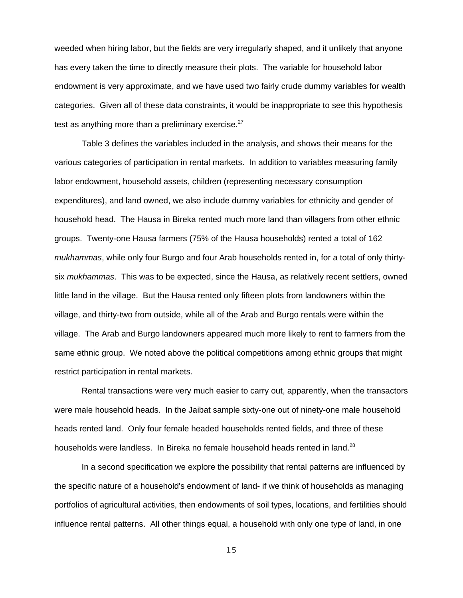weeded when hiring labor, but the fields are very irregularly shaped, and it unlikely that anyone has every taken the time to directly measure their plots. The variable for household labor endowment is very approximate, and we have used two fairly crude dummy variables for wealth categories. Given all of these data constraints, it would be inappropriate to see this hypothesis test as anything more than a preliminary exercise. $27$ 

Table 3 defines the variables included in the analysis, and shows their means for the various categories of participation in rental markets. In addition to variables measuring family labor endowment, household assets, children (representing necessary consumption expenditures), and land owned, we also include dummy variables for ethnicity and gender of household head. The Hausa in Bireka rented much more land than villagers from other ethnic groups. Twenty-one Hausa farmers (75% of the Hausa households) rented a total of 162 *mukhammas*, while only four Burgo and four Arab households rented in, for a total of only thirtysix *mukhammas*. This was to be expected, since the Hausa, as relatively recent settlers, owned little land in the village. But the Hausa rented only fifteen plots from landowners within the village, and thirty-two from outside, while all of the Arab and Burgo rentals were within the village. The Arab and Burgo landowners appeared much more likely to rent to farmers from the same ethnic group. We noted above the political competitions among ethnic groups that might restrict participation in rental markets.

Rental transactions were very much easier to carry out, apparently, when the transactors were male household heads. In the Jaibat sample sixty-one out of ninety-one male household heads rented land. Only four female headed households rented fields, and three of these households were landless. In Bireka no female household heads rented in land.<sup>28</sup>

In a second specification we explore the possibility that rental patterns are influenced by the specific nature of a household's endowment of land- if we think of households as managing portfolios of agricultural activities, then endowments of soil types, locations, and fertilities should influence rental patterns. All other things equal, a household with only one type of land, in one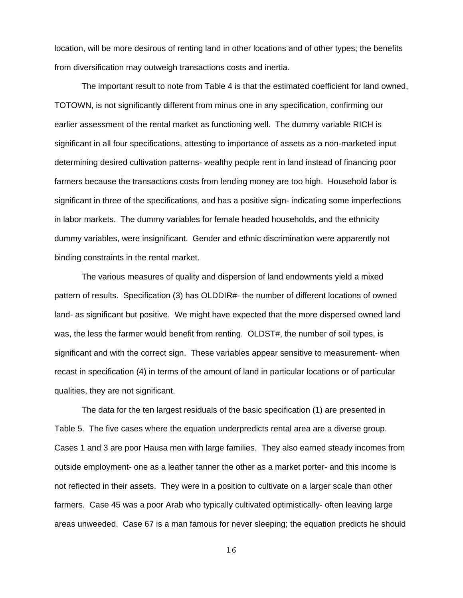location, will be more desirous of renting land in other locations and of other types; the benefits from diversification may outweigh transactions costs and inertia.

The important result to note from Table 4 is that the estimated coefficient for land owned, TOTOWN, is not significantly different from minus one in any specification, confirming our earlier assessment of the rental market as functioning well. The dummy variable RICH is significant in all four specifications, attesting to importance of assets as a non-marketed input determining desired cultivation patterns- wealthy people rent in land instead of financing poor farmers because the transactions costs from lending money are too high. Household labor is significant in three of the specifications, and has a positive sign- indicating some imperfections in labor markets. The dummy variables for female headed households, and the ethnicity dummy variables, were insignificant. Gender and ethnic discrimination were apparently not binding constraints in the rental market.

The various measures of quality and dispersion of land endowments yield a mixed pattern of results. Specification (3) has OLDDIR#- the number of different locations of owned land- as significant but positive. We might have expected that the more dispersed owned land was, the less the farmer would benefit from renting. OLDST#, the number of soil types, is significant and with the correct sign. These variables appear sensitive to measurement- when recast in specification (4) in terms of the amount of land in particular locations or of particular qualities, they are not significant.

The data for the ten largest residuals of the basic specification (1) are presented in Table 5. The five cases where the equation underpredicts rental area are a diverse group. Cases 1 and 3 are poor Hausa men with large families. They also earned steady incomes from outside employment- one as a leather tanner the other as a market porter- and this income is not reflected in their assets. They were in a position to cultivate on a larger scale than other farmers. Case 45 was a poor Arab who typically cultivated optimistically- often leaving large areas unweeded. Case 67 is a man famous for never sleeping; the equation predicts he should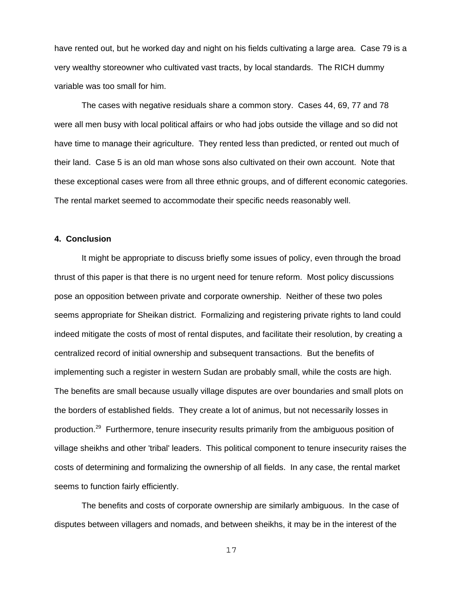have rented out, but he worked day and night on his fields cultivating a large area. Case 79 is a very wealthy storeowner who cultivated vast tracts, by local standards. The RICH dummy variable was too small for him.

The cases with negative residuals share a common story. Cases 44, 69, 77 and 78 were all men busy with local political affairs or who had jobs outside the village and so did not have time to manage their agriculture. They rented less than predicted, or rented out much of their land. Case 5 is an old man whose sons also cultivated on their own account. Note that these exceptional cases were from all three ethnic groups, and of different economic categories. The rental market seemed to accommodate their specific needs reasonably well.

#### **4. Conclusion**

It might be appropriate to discuss briefly some issues of policy, even through the broad thrust of this paper is that there is no urgent need for tenure reform. Most policy discussions pose an opposition between private and corporate ownership. Neither of these two poles seems appropriate for Sheikan district. Formalizing and registering private rights to land could indeed mitigate the costs of most of rental disputes, and facilitate their resolution, by creating a centralized record of initial ownership and subsequent transactions. But the benefits of implementing such a register in western Sudan are probably small, while the costs are high. The benefits are small because usually village disputes are over boundaries and small plots on the borders of established fields. They create a lot of animus, but not necessarily losses in production.<sup>29</sup> Furthermore, tenure insecurity results primarily from the ambiguous position of village sheikhs and other 'tribal' leaders. This political component to tenure insecurity raises the costs of determining and formalizing the ownership of all fields. In any case, the rental market seems to function fairly efficiently.

The benefits and costs of corporate ownership are similarly ambiguous. In the case of disputes between villagers and nomads, and between sheikhs, it may be in the interest of the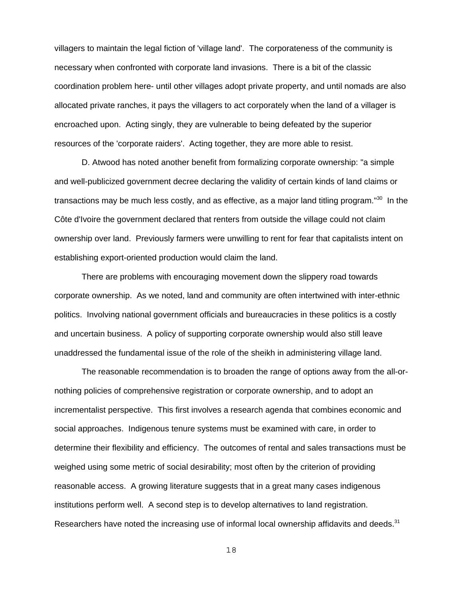villagers to maintain the legal fiction of 'village land'. The corporateness of the community is necessary when confronted with corporate land invasions. There is a bit of the classic coordination problem here- until other villages adopt private property, and until nomads are also allocated private ranches, it pays the villagers to act corporately when the land of a villager is encroached upon. Acting singly, they are vulnerable to being defeated by the superior resources of the 'corporate raiders'. Acting together, they are more able to resist.

D. Atwood has noted another benefit from formalizing corporate ownership: "a simple and well-publicized government decree declaring the validity of certain kinds of land claims or transactions may be much less costly, and as effective, as a major land titling program."<sup>30</sup> In the Côte d'Ivoire the government declared that renters from outside the village could not claim ownership over land. Previously farmers were unwilling to rent for fear that capitalists intent on establishing export-oriented production would claim the land.

There are problems with encouraging movement down the slippery road towards corporate ownership. As we noted, land and community are often intertwined with inter-ethnic politics. Involving national government officials and bureaucracies in these politics is a costly and uncertain business. A policy of supporting corporate ownership would also still leave unaddressed the fundamental issue of the role of the sheikh in administering village land.

The reasonable recommendation is to broaden the range of options away from the all-ornothing policies of comprehensive registration or corporate ownership, and to adopt an incrementalist perspective. This first involves a research agenda that combines economic and social approaches. Indigenous tenure systems must be examined with care, in order to determine their flexibility and efficiency. The outcomes of rental and sales transactions must be weighed using some metric of social desirability; most often by the criterion of providing reasonable access. A growing literature suggests that in a great many cases indigenous institutions perform well. A second step is to develop alternatives to land registration. Researchers have noted the increasing use of informal local ownership affidavits and deeds. $31$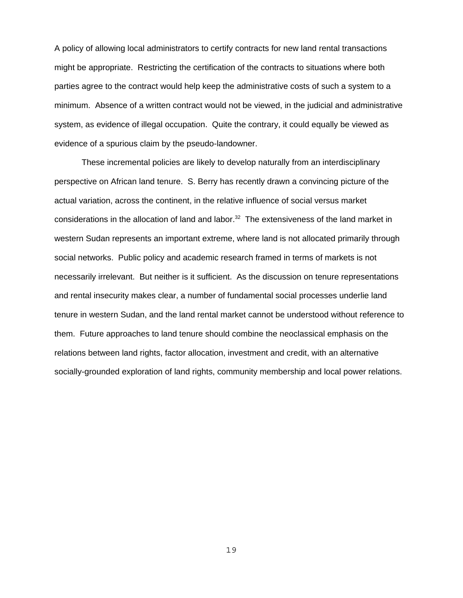A policy of allowing local administrators to certify contracts for new land rental transactions might be appropriate. Restricting the certification of the contracts to situations where both parties agree to the contract would help keep the administrative costs of such a system to a minimum. Absence of a written contract would not be viewed, in the judicial and administrative system, as evidence of illegal occupation. Quite the contrary, it could equally be viewed as evidence of a spurious claim by the pseudo-landowner.

These incremental policies are likely to develop naturally from an interdisciplinary perspective on African land tenure. S. Berry has recently drawn a convincing picture of the actual variation, across the continent, in the relative influence of social versus market considerations in the allocation of land and labor.<sup>32</sup> The extensiveness of the land market in western Sudan represents an important extreme, where land is not allocated primarily through social networks. Public policy and academic research framed in terms of markets is not necessarily irrelevant. But neither is it sufficient. As the discussion on tenure representations and rental insecurity makes clear, a number of fundamental social processes underlie land tenure in western Sudan, and the land rental market cannot be understood without reference to them. Future approaches to land tenure should combine the neoclassical emphasis on the relations between land rights, factor allocation, investment and credit, with an alternative socially-grounded exploration of land rights, community membership and local power relations.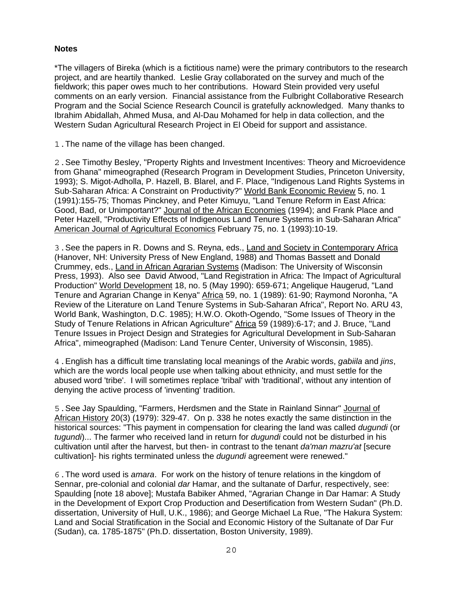### **Notes**

\*The villagers of Bireka (which is a fictitious name) were the primary contributors to the research project, and are heartily thanked. Leslie Gray collaborated on the survey and much of the fieldwork; this paper owes much to her contributions. Howard Stein provided very useful comments on an early version. Financial assistance from the Fulbright Collaborative Research Program and the Social Science Research Council is gratefully acknowledged. Many thanks to Ibrahim Abidallah, Ahmed Musa, and Al-Dau Mohamed for help in data collection, and the Western Sudan Agricultural Research Project in El Obeid for support and assistance.

1.The name of the village has been changed.

2.See Timothy Besley, "Property Rights and Investment Incentives: Theory and Microevidence from Ghana" mimeographed (Research Program in Development Studies, Princeton University, 1993); S. Migot-Adholla, P. Hazell, B. Blarel, and F. Place, "Indigenous Land Rights Systems in Sub-Saharan Africa: A Constraint on Productivity?" World Bank Economic Review 5, no. 1 (1991):155-75; Thomas Pinckney, and Peter Kimuyu, "Land Tenure Reform in East Africa: Good, Bad, or Unimportant?" Journal of the African Economies (1994); and Frank Place and Peter Hazell, "Productivity Effects of Indigenous Land Tenure Systems in Sub-Saharan Africa" American Journal of Agricultural Economics February 75, no. 1 (1993):10-19.

3.See the papers in R. Downs and S. Reyna, eds., Land and Society in Contemporary Africa (Hanover, NH: University Press of New England, 1988) and Thomas Bassett and Donald Crummey, eds., Land in African Agrarian Systems (Madison: The University of Wisconsin Press, 1993). Also see David Atwood, "Land Registration in Africa: The Impact of Agricultural Production" World Development 18, no. 5 (May 1990): 659-671; Angelique Haugerud, "Land Tenure and Agrarian Change in Kenya" Africa 59, no. 1 (1989): 61-90; Raymond Noronha, "A Review of the Literature on Land Tenure Systems in Sub-Saharan Africa", Report No. ARU 43, World Bank, Washington, D.C. 1985); H.W.O. Okoth-Ogendo, "Some Issues of Theory in the Study of Tenure Relations in African Agriculture" Africa 59 (1989):6-17; and J. Bruce, "Land Tenure Issues in Project Design and Strategies for Agricultural Development in Sub-Saharan Africa", mimeographed (Madison: Land Tenure Center, University of Wisconsin, 1985).

4.English has a difficult time translating local meanings of the Arabic words, *gabiila* and *jins*, which are the words local people use when talking about ethnicity, and must settle for the abused word 'tribe'. I will sometimes replace 'tribal' with 'traditional', without any intention of denying the active process of 'inventing' tradition.

5.See Jay Spaulding, "Farmers, Herdsmen and the State in Rainland Sinnar" Journal of African History 20(3) (1979): 329-47. On p. 338 he notes exactly the same distinction in the historical sources: "This payment in compensation for clearing the land was called *dugundi* (or *tugundi*)... The farmer who received land in return for *dugundi* could not be disturbed in his cultivation until after the harvest, but then- in contrast to the tenant *da'man mazru'at* [secure cultivation]- his rights terminated unless the *dugundi* agreement were renewed."

6.The word used is *amara*. For work on the history of tenure relations in the kingdom of Sennar, pre-colonial and colonial *dar* Hamar, and the sultanate of Darfur, respectively, see: Spaulding [note 18 above]; Mustafa Babiker Ahmed, "Agrarian Change in Dar Hamar: A Study in the Development of Export Crop Production and Desertification from Western Sudan" (Ph.D. dissertation, University of Hull, U.K., 1986); and George Michael La Rue, "The Hakura System: Land and Social Stratification in the Social and Economic History of the Sultanate of Dar Fur (Sudan), ca. 1785-1875" (Ph.D. dissertation, Boston University, 1989).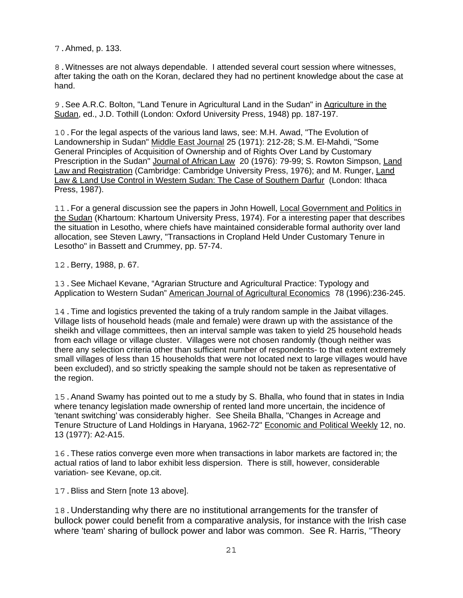7.Ahmed, p. 133.

8.Witnesses are not always dependable. I attended several court session where witnesses, after taking the oath on the Koran, declared they had no pertinent knowledge about the case at hand.

9.See A.R.C. Bolton, "Land Tenure in Agricultural Land in the Sudan" in Agriculture in the Sudan, ed., J.D. Tothill (London: Oxford University Press, 1948) pp. 187-197.

10.For the legal aspects of the various land laws, see: M.H. Awad, "The Evolution of Landownership in Sudan" Middle East Journal 25 (1971): 212-28; S.M. El-Mahdi, "Some General Principles of Acquisition of Ownership and of Rights Over Land by Customary Prescription in the Sudan" Journal of African Law 20 (1976): 79-99; S. Rowton Simpson, Land Law and Registration (Cambridge: Cambridge University Press, 1976); and M. Runger, Land Law & Land Use Control in Western Sudan: The Case of Southern Darfur (London: Ithaca Press, 1987).

11.For a general discussion see the papers in John Howell, Local Government and Politics in the Sudan (Khartoum: Khartoum University Press, 1974). For a interesting paper that describes the situation in Lesotho, where chiefs have maintained considerable formal authority over land allocation, see Steven Lawry, "Transactions in Cropland Held Under Customary Tenure in Lesotho" in Bassett and Crummey, pp. 57-74.

12.Berry, 1988, p. 67.

13.See Michael Kevane, "Agrarian Structure and Agricultural Practice: Typology and Application to Western Sudan" American Journal of Agricultural Economics 78 (1996):236-245.

14.Time and logistics prevented the taking of a truly random sample in the Jaibat villages. Village lists of household heads (male and female) were drawn up with the assistance of the sheikh and village committees, then an interval sample was taken to yield 25 household heads from each village or village cluster. Villages were not chosen randomly (though neither was there any selection criteria other than sufficient number of respondents- to that extent extremely small villages of less than 15 households that were not located next to large villages would have been excluded), and so strictly speaking the sample should not be taken as representative of the region.

15.Anand Swamy has pointed out to me a study by S. Bhalla, who found that in states in India where tenancy legislation made ownership of rented land more uncertain, the incidence of 'tenant switching' was considerably higher. See Sheila Bhalla, "Changes in Acreage and Tenure Structure of Land Holdings in Haryana, 1962-72" Economic and Political Weekly 12, no. 13 (1977): A2-A15.

16.These ratios converge even more when transactions in labor markets are factored in; the actual ratios of land to labor exhibit less dispersion. There is still, however, considerable variation- see Kevane, op.cit.

17.Bliss and Stern [note 13 above].

18.Understanding why there are no institutional arrangements for the transfer of bullock power could benefit from a comparative analysis, for instance with the Irish case where 'team' sharing of bullock power and labor was common. See R. Harris, "Theory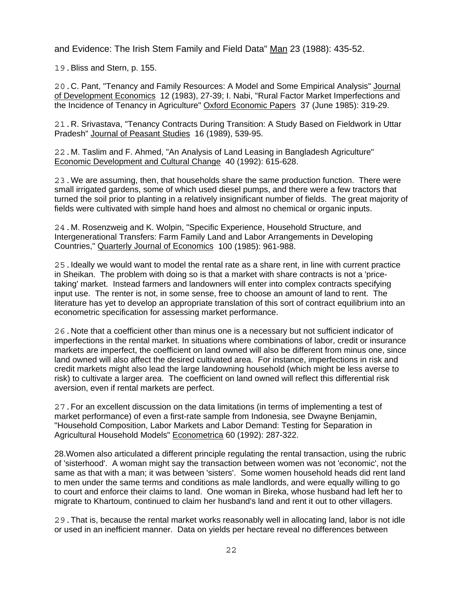and Evidence: The Irish Stem Family and Field Data" Man 23 (1988): 435-52.

19.Bliss and Stern, p. 155.

20.C. Pant, "Tenancy and Family Resources: A Model and Some Empirical Analysis" Journal of Development Economics 12 (1983), 27-39; I. Nabi, "Rural Factor Market Imperfections and the Incidence of Tenancy in Agriculture" Oxford Economic Papers 37 (June 1985): 319-29.

21.R. Srivastava, "Tenancy Contracts During Transition: A Study Based on Fieldwork in Uttar Pradesh" Journal of Peasant Studies 16 (1989), 539-95.

22.M. Taslim and F. Ahmed, "An Analysis of Land Leasing in Bangladesh Agriculture" Economic Development and Cultural Change 40 (1992): 615-628.

23.We are assuming, then, that households share the same production function. There were small irrigated gardens, some of which used diesel pumps, and there were a few tractors that turned the soil prior to planting in a relatively insignificant number of fields. The great majority of fields were cultivated with simple hand hoes and almost no chemical or organic inputs.

24.M. Rosenzweig and K. Wolpin, "Specific Experience, Household Structure, and Intergenerational Transfers: Farm Family Land and Labor Arrangements in Developing Countries," Quarterly Journal of Economics 100 (1985): 961-988.

25.Ideally we would want to model the rental rate as a share rent, in line with current practice in Sheikan. The problem with doing so is that a market with share contracts is not a 'pricetaking' market. Instead farmers and landowners will enter into complex contracts specifying input use. The renter is not, in some sense, free to choose an amount of land to rent. The literature has yet to develop an appropriate translation of this sort of contract equilibrium into an econometric specification for assessing market performance.

26.Note that a coefficient other than minus one is a necessary but not sufficient indicator of imperfections in the rental market. In situations where combinations of labor, credit or insurance markets are imperfect, the coefficient on land owned will also be different from minus one, since land owned will also affect the desired cultivated area. For instance, imperfections in risk and credit markets might also lead the large landowning household (which might be less averse to risk) to cultivate a larger area. The coefficient on land owned will reflect this differential risk aversion, even if rental markets are perfect.

27.For an excellent discussion on the data limitations (in terms of implementing a test of market performance) of even a first-rate sample from Indonesia, see Dwayne Benjamin, "Household Composition, Labor Markets and Labor Demand: Testing for Separation in Agricultural Household Models" Econometrica 60 (1992): 287-322.

28.Women also articulated a different principle regulating the rental transaction, using the rubric of 'sisterhood'. A woman might say the transaction between women was not 'economic', not the same as that with a man; it was between 'sisters'. Some women household heads did rent land to men under the same terms and conditions as male landlords, and were equally willing to go to court and enforce their claims to land. One woman in Bireka, whose husband had left her to migrate to Khartoum, continued to claim her husband's land and rent it out to other villagers.

29.That is, because the rental market works reasonably well in allocating land, labor is not idle or used in an inefficient manner. Data on yields per hectare reveal no differences between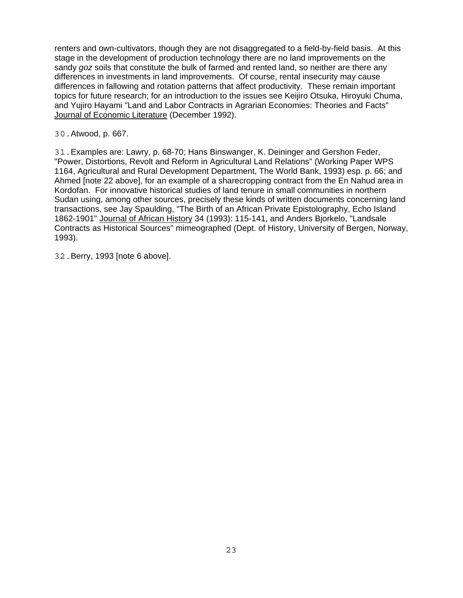renters and own-cultivators, though they are not disaggregated to a field-by-field basis. At this stage in the development of production technology there are no land improvements on the sandy *goz* soils that constitute the bulk of farmed and rented land, so neither are there any differences in investments in land improvements. Of course, rental insecurity may cause differences in fallowing and rotation patterns that affect productivity. These remain important topics for future research; for an introduction to the issues see Keijiro Otsuka, Hiroyuki Chuma, and Yujiro Hayami "Land and Labor Contracts in Agrarian Economies: Theories and Facts" Journal of Economic Literature (December 1992).

30.Atwood, p. 667.

31.Examples are: Lawry, p. 68-70; Hans Binswanger, K. Deininger and Gershon Feder, "Power, Distortions, Revolt and Reform in Agricultural Land Relations" (Working Paper WPS 1164, Agricultural and Rural Development Department, The World Bank, 1993) esp. p. 66; and Ahmed [note 22 above], for an example of a sharecropping contract from the En Nahud area in Kordofan. For innovative historical studies of land tenure in small communities in northern Sudan using, among other sources, precisely these kinds of written documents concerning land transactions, see Jay Spaulding, "The Birth of an African Private Epistolography, Echo Island 1862-1901" Journal of African History 34 (1993): 115-141, and Anders Bjorkelo, "Landsale Contracts as Historical Sources" mimeographed (Dept. of History, University of Bergen, Norway, 1993).

32.Berry, 1993 [note 6 above].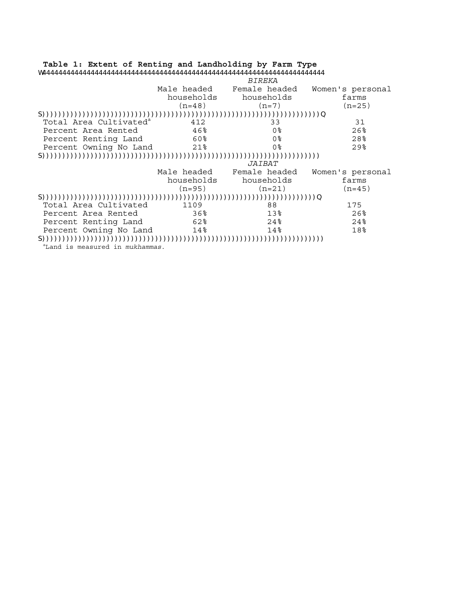| Table 1: Extent of Renting and Landholding by Farm Type |            |                           |                  |
|---------------------------------------------------------|------------|---------------------------|------------------|
|                                                         |            |                           |                  |
|                                                         |            | <i>BIREKA</i>             |                  |
|                                                         |            | Male headed Female headed | Women's personal |
|                                                         |            | households households     | farms            |
|                                                         | $(n=48)$   | $(n=7)$                   | $(n=25)$         |
|                                                         |            |                           |                  |
| Total Area Cultivated <sup>a</sup>                      | 412        | 33                        | 31               |
| Percent Area Rented                                     | 46%        | 0 <sup>8</sup>            | 26%              |
| Percent Renting Land                                    | 60%        | 0%                        | 28%              |
| Percent Owning No Land 21%                              |            | 0%                        | $29$ %           |
|                                                         |            |                           |                  |
|                                                         |            | <i>JAIBAT</i>             |                  |
|                                                         |            | Male headed Female headed | Women's personal |
|                                                         | households | households                | farms            |
|                                                         | $(n=95)$   | $(n=21)$                  | $(n=45)$         |
|                                                         |            |                           |                  |
| Total Area Cultivated                                   | 1109       | 88                        | 175              |
| Percent Area Rented                                     | 36%        | 13%                       | $26$ %           |
| Percent Renting Land                                    | 62%        | $24\,$                    | $24\,$           |
| Percent Owning No Land 14%                              |            | 14%                       | 18%              |
|                                                         |            |                           |                  |
| <sup>a</sup> Land is measured in <i>mukhammas</i> .     |            |                           |                  |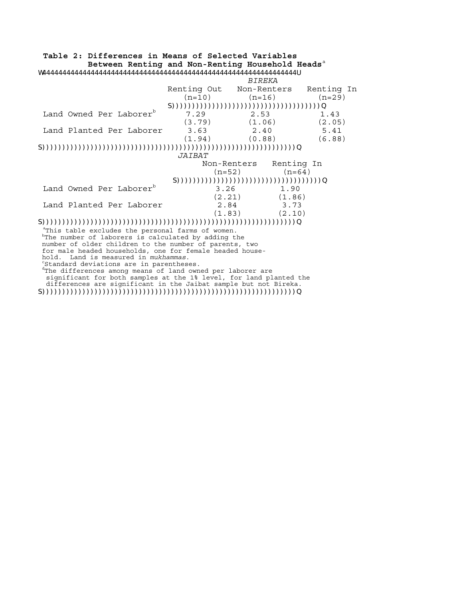#### **Table 2: Differences in Means of Selected Variables** Between Renting and Non-Renting Household Heads<sup>a</sup> W444444444444444444444444444444444444444444444444444444444444444U *BIREKA* Renting Out Non-Renters Renting In  $(n=10)$   $(n=16)$   $(n=29)$  S)))))))))))))))))))))))))))))))))))))Q Land Owned Per Laborer<sup>b</sup> 7.29 2.53 1.43  $(3.79)$   $(1.06)$   $(2.05)$ Land Planted Per Laborer 3.63 2.40 5.41 (1.94) (0.88) (6.88) S)))))))))))))))))))))))))))))))))))))))))))))))))))))))))))))))Q *JAIBAT* Non-Renters Renting In  $(n=52)$   $(n=64)$  S))))))))))))))))))))))))))))))))))))Q Land Owned Per Laborer<sup>b</sup> 3.26 1.90  $(2.21)$   $(1.86)$ Land Planted Per Laborer 12.84 3.73  $(1.83)$   $(2.10)$ S)))))))))))))))))))))))))))))))))))))))))))))))))))))))))))))))Q

aThis table excludes the personal farms of women. <sup>b</sup>The number of laborers is calculated by adding the number of older children to the number of parents, two for male headed households, one for female headed house-

dThe differences among means of land owned per laborer are

 significant for both samples at the 1% level, for land planted the differences are significant in the Jaibat sample but not Bireka. S)))))))))))))))))))))))))))))))))))))))))))))))))))))))))))))))Q

hold. Land is measured in *mukhammas*. Standard deviations are in parentheses.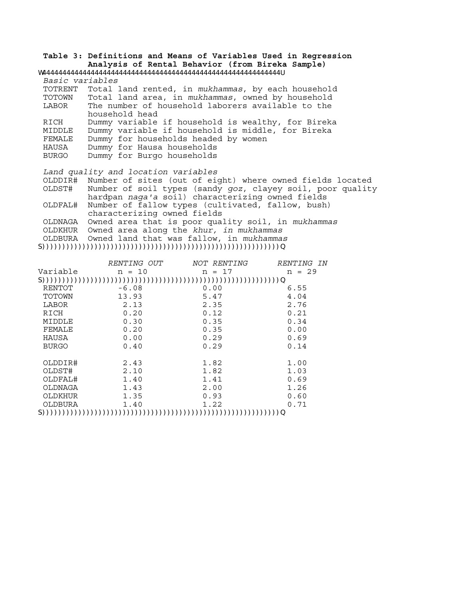**Table 3: Definitions and Means of Variables Used in Regression Analysis of Rental Behavior (from Bireka Sample)**  W44444444444444444444444444444444444444444444444444444444444U

*Basic variables* TOTRENT Total land rented, in *mukhammas*, by each household TOTOWN Total land area, in *mukhammas*, owned by household LABOR The number of household laborers available to the household head RICH Dummy variable if household is wealthy, for Bireka MIDDLE Dummy variable if household is middle, for Bireka FEMALE Dummy for households headed by women HAUSA Dummy for Hausa households BURGO Dummy for Burgo households *Land quality and location variables*

 OLDDIR# Number of sites (out of eight) where owned fields located Number of soil types (sandy *qoz*, clayey soil, poor quality hardpan *naga'a* soil) characterizing owned fields OLDFAL# Number of fallow types (cultivated, fallow, bush) characterizing owned fields OLDNAGA Owned area that is poor quality soil, in *mukhammas* OLDKHUR Owned area along the *khur, in mukhammas* OLDBURA Owned land that was fallow, in *mukhammas*

#### S)))))))))))))))))))))))))))))))))))))))))))))))))))))))))))Q

|              | <i>RENTING OUT</i> | <i>NOT RENTING</i> | <i>RENTING IN</i> |  |  |
|--------------|--------------------|--------------------|-------------------|--|--|
| Variable     | $n = 10$           | $n = 17$           | $n = 29$          |  |  |
|              |                    |                    |                   |  |  |
| RENTOT       | $-6.08$            | 0.00               | 6.55              |  |  |
| TOTOWN       | 13.93              | 5.47               | 4.04              |  |  |
| LABOR        | 2.13               | 2.35               | 2.76              |  |  |
| RICH         | 0.20               | 0.12               | 0.21              |  |  |
| MIDDLE       | 0.30               | 0.35               | 0.34              |  |  |
| FEMALE       | 0.20               | 0.35               | 0.00              |  |  |
| HAUSA        | 0.00               | 0.29               | 0.69              |  |  |
| <b>BURGO</b> | 0.40               | 0.29               | 0.14              |  |  |
|              |                    |                    |                   |  |  |
| OLDDIR#      | 2.43               | 1.82               | 1.00              |  |  |
| OLDST#       | 2.10               | 1.82               | 1.03              |  |  |
| OLDFAL#      | 1.40               | 1.41               | 0.69              |  |  |
| OLDNAGA      | 1.43               | 2.00               | 1.26              |  |  |
| OLDKHUR      | 1.35               | 0.93               | 0.60              |  |  |
| OLDBURA      | 1.40               | 1.22               | 0.71              |  |  |
|              |                    |                    |                   |  |  |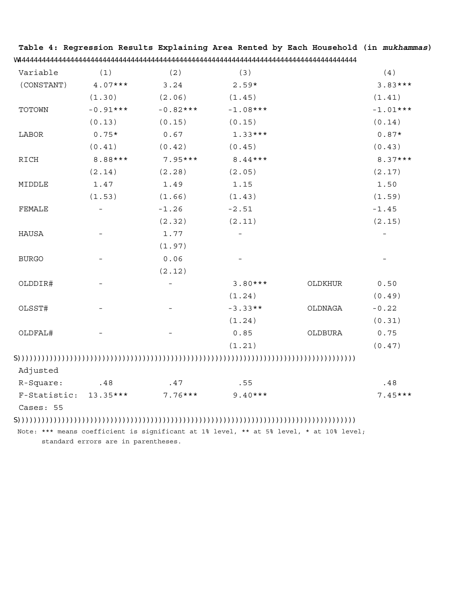| Variable     | (1)        | (2)        | (3)        |         | (4)        |
|--------------|------------|------------|------------|---------|------------|
| (CONSTANT)   | $4.07***$  | 3.24       | $2.59*$    |         | $3.83***$  |
|              | (1.30)     | (2.06)     | (1.45)     |         | (1.41)     |
| TOTOWN       | $-0.91***$ | $-0.82***$ | $-1.08***$ |         | $-1.01***$ |
|              | (0.13)     | (0.15)     | (0.15)     |         | (0.14)     |
| LABOR        | $0.75*$    | 0.67       | $1.33***$  |         | $0.87*$    |
|              | (0.41)     | (0.42)     | (0.45)     |         | (0.43)     |
| RICH         | 8.88***    | $7.95***$  | $8.44***$  |         | $8.37***$  |
|              | (2.14)     | (2.28)     | (2.05)     |         | (2.17)     |
| MIDDLE       | 1.47       | 1.49       | 1.15       |         | 1.50       |
|              | (1.53)     | (1.66)     | (1.43)     |         | (1.59)     |
| FEMALE       |            | $-1.26$    | $-2.51$    |         | $-1.45$    |
|              |            | (2.32)     | (2.11)     |         | (2.15)     |
| HAUSA        |            | 1.77       |            |         |            |
|              |            | (1.97)     |            |         |            |
| <b>BURGO</b> |            | 0.06       |            |         |            |
|              |            | (2.12)     |            |         |            |
| OLDDIR#      |            |            | $3.80***$  | OLDKHUR | 0.50       |
|              |            |            | (1.24)     |         | (0.49)     |
| OLSST#       |            |            | $-3.33**$  | OLDNAGA | $-0.22$    |
|              |            |            | (1.24)     |         | (0.31)     |
| OLDFAL#      |            |            | 0.85       | OLDBURA | 0.75       |
|              |            |            | (1.21)     |         | (0.47)     |

**Table 4: Regression Results Explaining Area Rented by Each Household (in** *mukhammas***)**  W444444444444444444444444444444444444444444444444444444444444444444444444444444444444

## S))))))))))))))))))))))))))))))))))))))))))))))))))))))))))))))))))))))))))))))))))))

Adjusted

| R-Square:             | .48 | 47      | . 55    | .48       |
|-----------------------|-----|---------|---------|-----------|
| F-Statistic: 13.35*** |     | 7.76*** | 9.40*** | $7.45***$ |

Cases: 55

# S))))))))))))))))))))))))))))))))))))))))))))))))))))))))))))))))))))))))))))))))))))

 Note: \*\*\* means coefficient is significant at 1% level, \*\* at 5% level, \* at 10% level; standard errors are in parentheses.